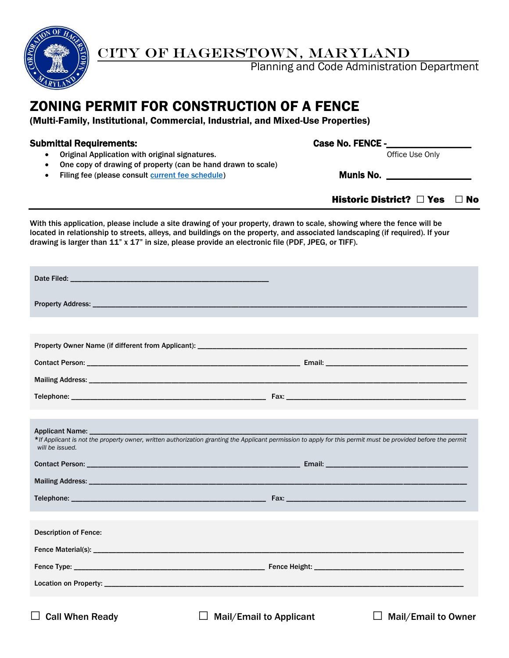

# CITY OF HAGERSTOWN, MARYLAND

Planning and Code Administration Department

# ZONING PERMIT FOR CONSTRUCTION OF A FENCE

(Multi-Family, Institutional, Commercial, Industrial, and Mixed-Use Properties)

## Submittal Requirements: Case No. FENCE -

• Original Application with original signatures. The matrix of the Use Only office Use Only

- One copy of drawing of property (can be hand drawn to scale)
- Filing fee (please consult *current fee schedule*) Munis No. \_\_\_\_\_\_\_\_\_\_\_\_\_\_\_\_\_\_

Historic District?  $\Box$  Yes  $\Box$  No

With this application, please include a site drawing of your property, drawn to scale, showing where the fence will be located in relationship to streets, alleys, and buildings on the property, and associated landscaping (if required). If your drawing is larger than 11" x 17" in size, please provide an electronic file (PDF, JPEG, or TIFF).

| Applicant Name: ______________<br>*If Applicant is not the property owner, written authorization granting the Applicant permission to apply for this permit must be provided before the permit<br>will be issued. |                                                                                                                                            |  |  |  |
|-------------------------------------------------------------------------------------------------------------------------------------------------------------------------------------------------------------------|--------------------------------------------------------------------------------------------------------------------------------------------|--|--|--|
|                                                                                                                                                                                                                   | <b>Contact Person: Contact Person: Contact Persons and Contact Persons and Contact Persons and Contact Person</b> : <b>Contact Person:</b> |  |  |  |
|                                                                                                                                                                                                                   |                                                                                                                                            |  |  |  |
|                                                                                                                                                                                                                   |                                                                                                                                            |  |  |  |
|                                                                                                                                                                                                                   |                                                                                                                                            |  |  |  |
| <b>Description of Fence:</b>                                                                                                                                                                                      |                                                                                                                                            |  |  |  |
|                                                                                                                                                                                                                   |                                                                                                                                            |  |  |  |
|                                                                                                                                                                                                                   |                                                                                                                                            |  |  |  |
|                                                                                                                                                                                                                   |                                                                                                                                            |  |  |  |
| <b>Call When Ready</b>                                                                                                                                                                                            | <b>Mail/Email to Applicant</b><br>Mail/Email to Owner                                                                                      |  |  |  |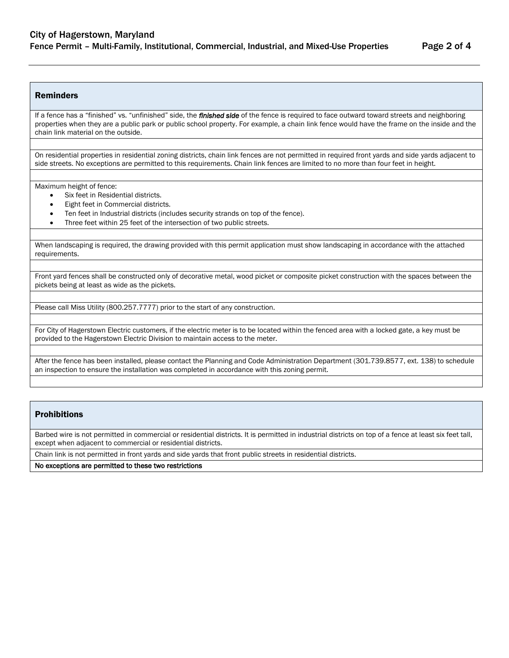#### Reminders

If a fence has a "finished" vs. "unfinished" side, the *finished side* of the fence is required to face outward toward streets and neighboring properties when they are a public park or public school property. For example, a chain link fence would have the frame on the inside and the chain link material on the outside.

On residential properties in residential zoning districts, chain link fences are not permitted in required front yards and side yards adjacent to side streets. No exceptions are permitted to this requirements. Chain link fences are limited to no more than four feet in height.

Maximum height of fence:

- Six feet in Residential districts.
- Eight feet in Commercial districts.
- Ten feet in Industrial districts (includes security strands on top of the fence).
- Three feet within 25 feet of the intersection of two public streets.

When landscaping is required, the drawing provided with this permit application must show landscaping in accordance with the attached requirements.

Front yard fences shall be constructed only of decorative metal, wood picket or composite picket construction with the spaces between the pickets being at least as wide as the pickets.

Please call Miss Utility (800.257.7777) prior to the start of any construction.

For City of Hagerstown Electric customers, if the electric meter is to be located within the fenced area with a locked gate, a key must be provided to the Hagerstown Electric Division to maintain access to the meter.

After the fence has been installed, please contact the Planning and Code Administration Department (301.739.8577, ext. 138) to schedule an inspection to ensure the installation was completed in accordance with this zoning permit.

#### Prohibitions

Barbed wire is not permitted in commercial or residential districts. It is permitted in industrial districts on top of a fence at least six feet tall, except when adjacent to commercial or residential districts.

Chain link is not permitted in front yards and side yards that front public streets in residential districts.

No exceptions are permitted to these two restrictions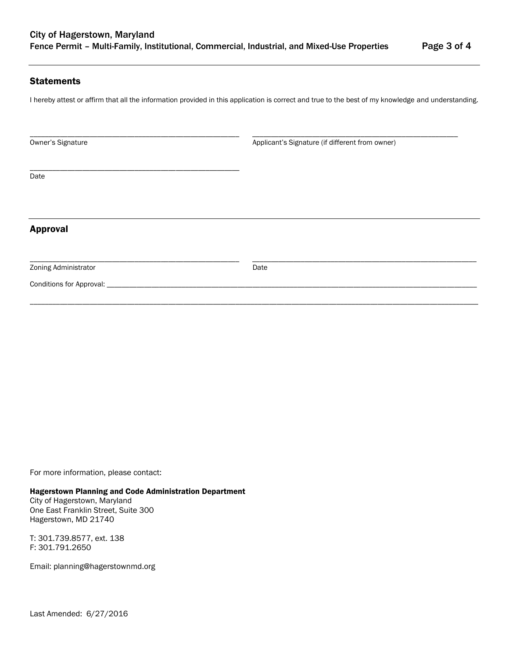#### **Statements**

I hereby attest or affirm that all the information provided in this application is correct and true to the best of my knowledge and understanding.

\_\_\_\_\_\_\_\_\_\_\_\_\_\_\_\_\_\_\_\_\_\_\_\_\_\_\_\_\_\_\_\_\_\_\_\_\_\_\_\_\_\_\_\_\_\_\_\_\_\_\_\_\_\_\_\_ \_\_\_\_\_\_\_\_\_\_\_\_\_\_\_\_\_\_\_\_\_\_\_\_\_\_\_\_\_\_\_\_\_\_\_\_\_\_\_\_\_\_\_\_\_\_\_\_\_\_\_\_\_\_\_

Owner's Signature **Applicant's Signature** (if different from owner)

Date

## Approval

Zoning Administrator Date

\_\_\_\_\_\_\_\_\_\_\_\_\_\_\_\_\_\_\_\_\_\_\_\_\_\_\_\_\_\_\_\_\_\_\_\_\_\_\_\_\_\_\_\_\_\_\_\_\_\_\_\_\_\_\_\_ \_\_\_\_\_\_\_\_\_\_\_\_\_\_\_\_\_\_\_\_\_\_\_\_\_\_\_\_\_\_\_\_\_\_\_\_\_\_\_\_\_\_\_\_\_\_\_\_\_\_\_\_\_\_\_\_\_\_\_\_

\_\_\_\_\_\_\_\_\_\_\_\_\_\_\_\_\_\_\_\_\_\_\_\_\_\_\_\_\_\_\_\_\_\_\_\_\_\_\_\_\_\_\_\_\_\_\_\_\_\_\_\_\_\_\_\_\_\_\_\_\_\_\_\_\_\_\_\_\_\_\_\_\_\_\_\_\_\_\_\_\_\_\_\_\_\_\_\_\_\_\_\_\_\_\_\_\_\_\_\_\_\_\_\_\_\_\_\_\_\_\_\_\_\_\_\_\_\_\_\_

Conditions for Approval:

For more information, please contact:

#### Hagerstown Planning and Code Administration Department

\_\_\_\_\_\_\_\_\_\_\_\_\_\_\_\_\_\_\_\_\_\_\_\_\_\_\_\_\_\_\_\_\_\_\_\_\_\_\_\_\_\_\_\_\_\_\_\_\_\_\_\_\_\_\_\_

City of Hagerstown, Maryland One East Franklin Street, Suite 300 Hagerstown, MD 21740

T: 301.739.8577, ext. 138 F: 301.791.2650

Email: planning@hagerstownmd.org

Last Amended: 6/27/2016